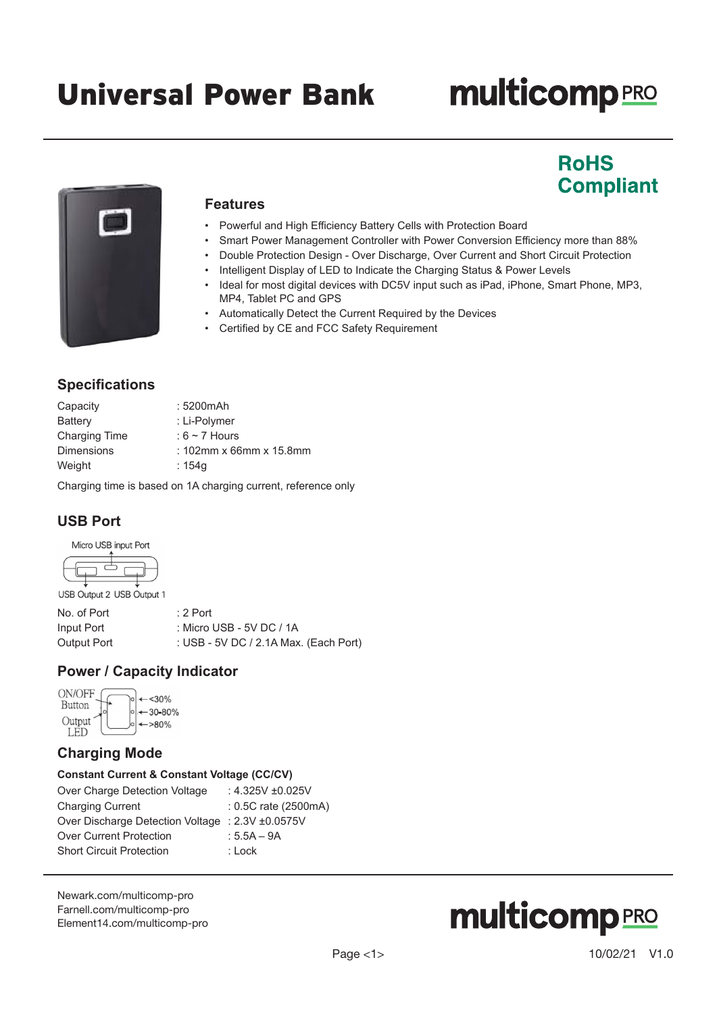# **multicomp**PRO

# **RoHS Compliant**



## **Features**

- Powerful and High Efficiency Battery Cells with Protection Board
- Smart Power Management Controller with Power Conversion Efficiency more than 88%
- Double Protection Design Over Discharge, Over Current and Short Circuit Protection
	- Intelligent Display of LED to Indicate the Charging Status & Power Levels
	- Ideal for most digital devices with DC5V input such as iPad, iPhone, Smart Phone, MP3, MP4, Tablet PC and GPS
	- Automatically Detect the Current Required by the Devices
	- Certified by CE and FCC Safety Requirement

# **Specifications**

| Capacity             | : 5200mAh                  |
|----------------------|----------------------------|
| Battery              | : Li-Polymer               |
| <b>Charging Time</b> | : $6 \sim 7$ Hours         |
| <b>Dimensions</b>    | : $102$ mm x 66mm x 15.8mm |
| Weight               | : 154g                     |
|                      |                            |

Charging time is based on 1A charging current, reference only

# **USB Port**

Micro USB input Port



| USB Output 2 USB Output 1 |  |
|---------------------------|--|
|---------------------------|--|

| No. of Port | :2 Port                               |
|-------------|---------------------------------------|
| Input Port  | : Micro USB - 5V DC / 1A              |
| Output Port | : USB - 5V DC / 2.1A Max. (Each Port) |

# **Power / Capacity Indicator**

| ON/OFF<br>Button | $30%$                  |
|------------------|------------------------|
| Output           | $-30 - 80%$<br>$>80\%$ |

# **Charging Mode**

### **Constant Current & Constant Voltage (CC/CV)**

| Over Charge Detection Voltage                    | : 4.325V $\pm 0.025$ V |
|--------------------------------------------------|------------------------|
| <b>Charging Current</b>                          | $: 0.5C$ rate (2500mA) |
| Over Discharge Detection Voltage : 2.3V ±0.0575V |                        |
| <b>Over Current Protection</b>                   | : $5.5A - 9A$          |
| <b>Short Circuit Protection</b>                  | : Lock                 |
|                                                  |                        |

[Newark.com/multicomp-](https://www.newark.com/multicomp-pro)pro [Farnell.com/multicomp](https://www.farnell.com/multicomp-pro)-pro [Element14.com/multicomp-pro](https://element14.com/multicomp-pro)

# **multicomp**PRO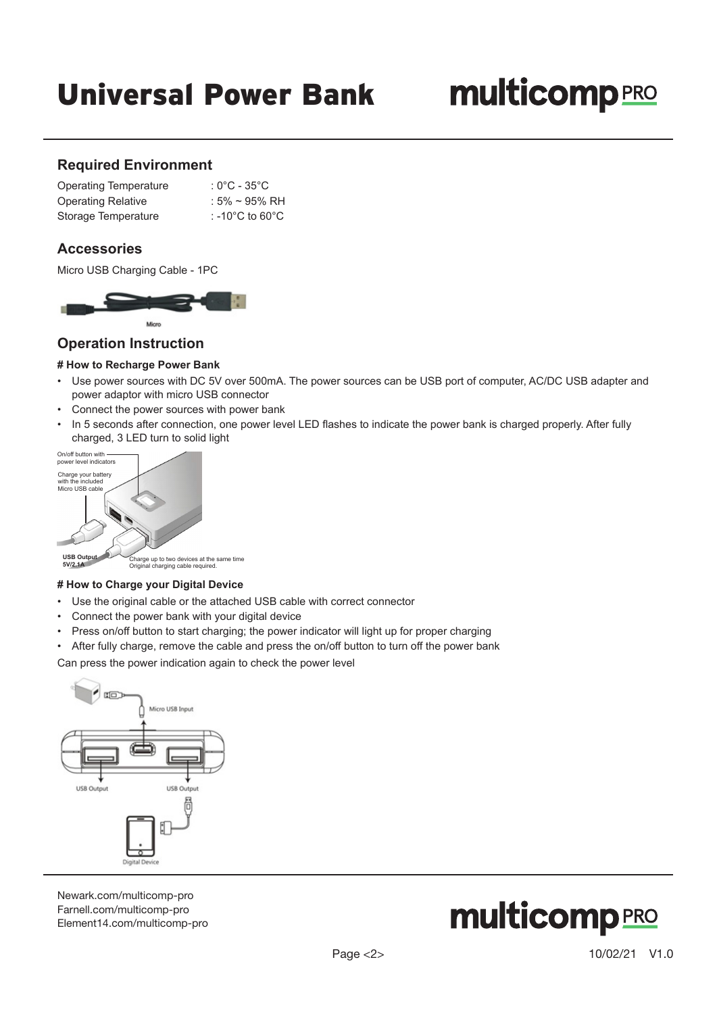# Universal Power Bank

# **multicomp**PRO

### **Required Environment**

| <b>Operating Temperature</b> | : $0^{\circ}$ C - 35 $^{\circ}$ C     |
|------------------------------|---------------------------------------|
| <b>Operating Relative</b>    | : $5\% \sim 95\% \text{ RH}$          |
| Storage Temperature          | : -10 $^{\circ}$ C to 60 $^{\circ}$ C |

### **Accessories**

Micro USB Charging Cable - 1PC



### **Operation Instruction**

### **# How to Recharge Power Bank**

- Use power sources with DC 5V over 500mA. The power sources can be USB port of computer, AC/DC USB adapter and power adaptor with micro USB connector
- Connect the power sources with power bank
- In 5 seconds after connection, one power level LED flashes to indicate the power bank is charged properly. After fully charged, 3 LED turn to solid light



### **# How to Charge your Digital Device**

- Use the original cable or the attached USB cable with correct connector
- Connect the power bank with your digital device
- Press on/off button to start charging; the power indicator will light up for proper charging
- After fully charge, remove the cable and press the on/off button to turn off the power bank

Can press the power indication again to check the power level



[Newark.com/multicomp-](https://www.newark.com/multicomp-pro)pro [Farnell.com/multicomp](https://www.farnell.com/multicomp-pro)-pro [Element14.com/multicomp-pro](https://element14.com/multicomp-pro)

# **multicomp**PRO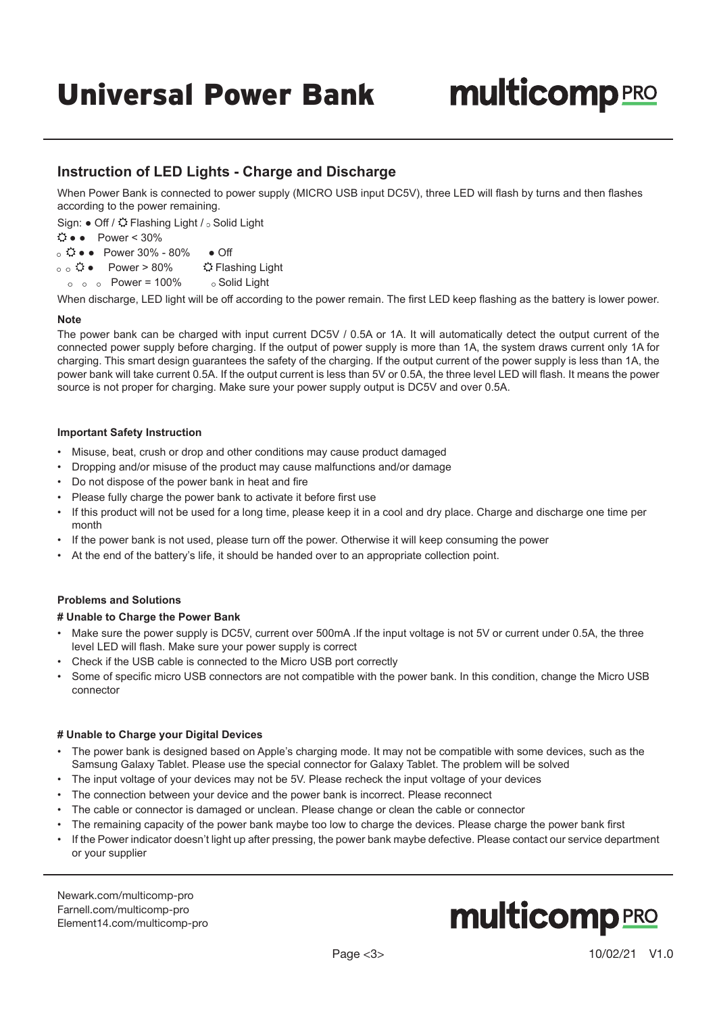# Universal Power Bank

# **multicomp**PRO

## **Instruction of LED Lights - Charge and Discharge**

When Power Bank is connected to power supply (MICRO USB input DC5V), three LED will flash by turns and then flashes according to the power remaining.

Sign: ● Off /  $\ddot{Q}$  Flashing Light /  $\circ$  Solid Light

### $\Leftrightarrow$   $\bullet$  Power < 30%

 $\circ$   $\mathbf{\hat{\cdot}}$   $\bullet$   $\bullet$  Power 30% - 80%  $\bullet$  Off

o o  $\hat{\Omega}$  ● Power > 80%  $\hat{\Omega}$  Flashing Light

 $\circ$   $\circ$  Power = 100%  $\circ$  Solid Light

When discharge, LED light will be off according to the power remain. The first LED keep flashing as the battery is lower power.

### **Note**

The power bank can be charged with input current DC5V / 0.5A or 1A. It will automatically detect the output current of the connected power supply before charging. If the output of power supply is more than 1A, the system draws current only 1A for charging. This smart design guarantees the safety of the charging. If the output current of the power supply is less than 1A, the power bank will take current 0.5A. If the output current is less than 5V or 0.5A, the three level LED will flash. It means the power source is not proper for charging. Make sure your power supply output is DC5V and over 0.5A.

### **Important Safety Instruction**

- Misuse, beat, crush or drop and other conditions may cause product damaged
- Dropping and/or misuse of the product may cause malfunctions and/or damage
- Do not dispose of the power bank in heat and fire
- Please fully charge the power bank to activate it before first use
- If this product will not be used for a long time, please keep it in a cool and dry place. Charge and discharge one time per month
- If the power bank is not used, please turn off the power. Otherwise it will keep consuming the power
- At the end of the battery's life, it should be handed over to an appropriate collection point.

### **Problems and Solutions**

### **# Unable to Charge the Power Bank**

- Make sure the power supply is DC5V, current over 500mA .If the input voltage is not 5V or current under 0.5A, the three level LED will flash. Make sure your power supply is correct
- Check if the USB cable is connected to the Micro USB port correctly
- Some of specific micro USB connectors are not compatible with the power bank. In this condition, change the Micro USB connector

### **# Unable to Charge your Digital Devices**

- The power bank is designed based on Apple's charging mode. It may not be compatible with some devices, such as the Samsung Galaxy Tablet. Please use the special connector for Galaxy Tablet. The problem will be solved
- The input voltage of your devices may not be 5V. Please recheck the input voltage of your devices
- The connection between your device and the power bank is incorrect. Please reconnect
- The cable or connector is damaged or unclean. Please change or clean the cable or connector
- The remaining capacity of the power bank maybe too low to charge the devices. Please charge the power bank first
- If the Power indicator doesn't light up after pressing, the power bank maybe defective. Please contact our service department or your supplier

[Newark.com/multicomp-](https://www.newark.com/multicomp-pro)pro [Farnell.com/multicomp](https://www.farnell.com/multicomp-pro)-pro [Element14.com/multicomp-pro](https://element14.com/multicomp-pro)